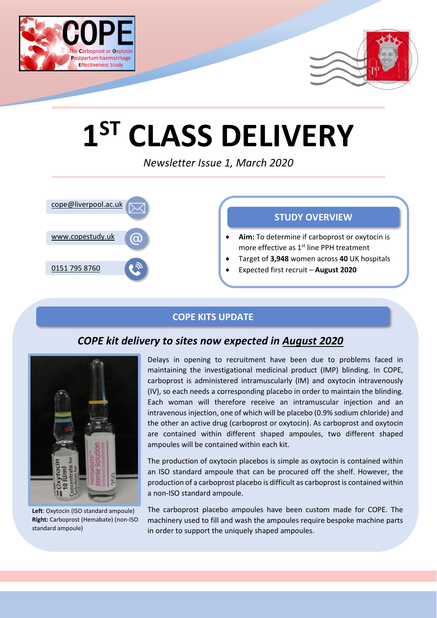



# **1 ST CLASS DELIVERY**

*Newsletter Issue 1, March 2020*



# **COPE KITS UPDATE**

# *COPE kit delivery to sites now expected in August 2020*



**Left**: Oxytocin (ISO standard ampoule) **Right:** Carboprost (Hemabate) (non-ISO standard ampoule)

Delays in opening to recruitment have been due to problems faced in maintaining the investigational medicinal product (IMP) blinding. In COPE, carboprost is administered intramuscularly (IM) and oxytocin intravenously (IV), so each needs a corresponding placebo in order to maintain the blinding. Each woman will therefore receive an intramuscular injection and an intravenous injection, one of which will be placebo (0.9% sodium chloride) and the other an active drug (carboprost or oxytocin). As carboprost and oxytocin are contained within different shaped ampoules, two different shaped ampoules will be contained within each kit.

The production of oxytocin placebos is simple as oxytocin is contained within an ISO standard ampoule that can be procured off the shelf. However, the production of a carboprost placebo is difficult as carboprost is contained within a non-ISO standard ampoule.

The carboprost placebo ampoules have been custom made for COPE. The machinery used to fill and wash the ampoules require bespoke machine parts in order to support the uniquely shaped ampoules.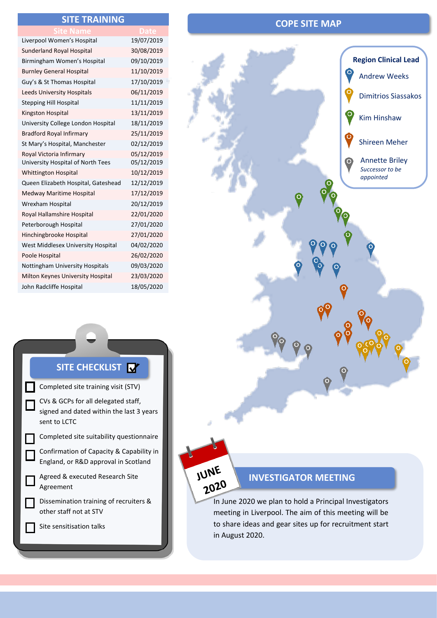### **SITE TRAINING**

| ite Name                            |            |
|-------------------------------------|------------|
| Liverpool Women's Hospital          | 19/07/2019 |
| <b>Sunderland Royal Hospital</b>    | 30/08/2019 |
| Birmingham Women's Hospital         | 09/10/2019 |
| <b>Burnley General Hospital</b>     | 11/10/2019 |
| Guy's & St Thomas Hospital          | 17/10/2019 |
| <b>Leeds University Hospitals</b>   | 06/11/2019 |
| <b>Stepping Hill Hospital</b>       | 11/11/2019 |
| Kingston Hospital                   | 13/11/2019 |
| University College London Hospital  | 18/11/2019 |
| <b>Bradford Royal Infirmary</b>     | 25/11/2019 |
| St Mary's Hospital, Manchester      | 02/12/2019 |
| Royal Victoria Infirmary            | 05/12/2019 |
| University Hospital of North Tees   | 05/12/2019 |
| Whittington Hospital                | 10/12/2019 |
| Queen Elizabeth Hospital, Gateshead | 12/12/2019 |
| Medway Maritime Hospital            | 17/12/2019 |
| Wrexham Hospital                    | 20/12/2019 |
| Royal Hallamshire Hospital          | 22/01/2020 |
| Peterborough Hospital               | 27/01/2020 |
| Hinchingbrooke Hospital             | 27/01/2020 |
| West Middlesex University Hospital  | 04/02/2020 |
| Poole Hospital                      | 26/02/2020 |
| Nottingham University Hospitals     | 09/03/2020 |
| Milton Keynes University Hospital   | 23/03/2020 |
| John Radcliffe Hospital             | 18/05/2020 |

### **COPE SITE MAP**



### **SITE CHECKLIST**



# JUNE 2020

### **INVESTIGATOR MEETING**

In June 2020 we plan to hold a Principal Investigators meeting in Liverpool. The aim of this meeting will be to share ideas and gear sites up for recruitment start in August 2020.